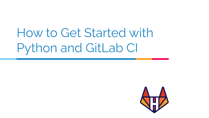## How to Get Started with Python and GitLab CI

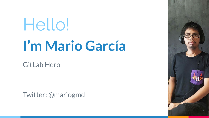# Hello! **I'm Mario García**

GitLab Hero

Twitter: @mariogmd

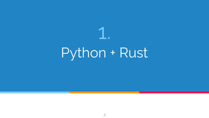# 1. Python + Rust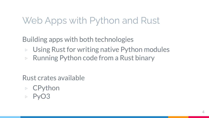## Web Apps with Python and Rust

Building apps with both technologies

- Using Rust for writing native Python modules
- ▷ Running Python code from a Rust binary

Rust crates available

- ▷ CPython
- PyO<sub>3</sub>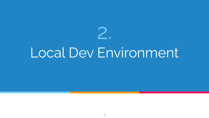# 2. Local Dev Environment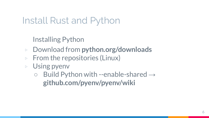## Install Rust and Python

Installing Python

- ▷ Download from **python.org/downloads**
- $\triangleright$  From the repositories (Linux)
- ▷ Using pyenv
	- $\circ$  Build Python with --enable-shared  $\rightarrow$ **github.com/pyenv/pyenv/wiki**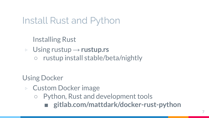Install Rust and Python

Installing Rust

▷ Using rustup → **rustup.rs**

rustup install stable/beta/nightly

Using Docker

- ▷ Custom Docker image
	- Python, Rust and development tools **■ gitlab.com/mattdark/docker-rust-python**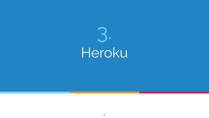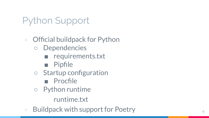## Python Support

## ▷ Official buildpack for Python

- Dependencies
	- requirements.txt
	- Pipfile
- Startup configuration
	- Procfile
- Python runtime
	- runtime.txt
- $\triangleright$  Buildpack with support for Poetry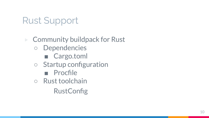## Rust Support

## ▷ Community buildpack for Rust

- Dependencies
	- Cargo.toml
- Startup configuration
	- Procfile
- Rust toolchain
	- **RustConfig**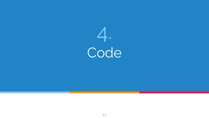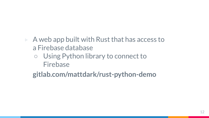- $\triangleright$  A web app built with Rust that has access to a Firebase database
	- Using Python library to connect to Firebase

gitlab.com/mattdark/rust-python-demo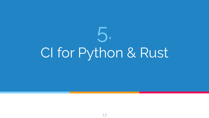# CI for Python & Rust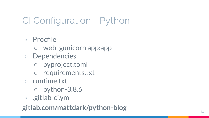CI Configuration - Python

- ▷ Procfile
	- web: gunicorn app:app
- ▷ Dependencies
	- pyproject.toml
	- requirements.txt
- ▷ runtime.txt
	- python-3.8.6
- ▷ .gitlab-ci.yml

**gitlab.com/mattdark/python-blog**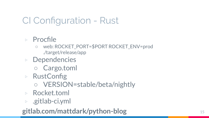## CI Configuration - Rust

## ▷ Procfile

- web: ROCKET\_PORT=\$PORT ROCKET\_ENV=prod ./target/release/app
- ▷ Dependencies
	- Cargo.toml
- ▷ RustConfig
	- VERSION=stable/beta/nightly
- ▷ Rocket.toml
- ▷ .gitlab-ci.yml

## **gitlab.com/mattdark/python-blog** <sup>15</sup>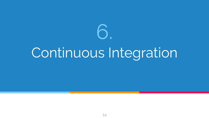

# Continuous Integration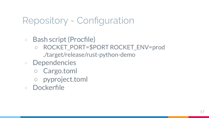## Repository - Configuration

- ▷ Bash script (Procfile)
	- ROCKET\_PORT=\$PORT ROCKET\_ENV=prod ./target/release/rust-python-demo
- ▷ Dependencies
	- Cargo.toml
	- pyproject.toml
- ▷ Dockerfile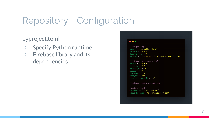## **Repository - Configuration**

pyproject.toml

- **Specify Python runtime**  $\triangleright$
- **Firebase library and its**  $\triangleright$ dependencies

#### $\bullet\bullet\bullet$

[tool.poetry] name = "rust-python-demo" version =  $"0.1.0"$  $description = ""$ authors = ["Mario García <iscmariog@gmail.com>"]

[tool.poetry.dependencies]  $python = "3.7.3"$ firebase =  $"*"$  $python-*jwt* = "*"$  $\alpha$ cloud = " $\star$ " sseclient =  $"*"$  $pycrypto = "**"$ requests-toolbelt =  $"*"$ 

[tool.poetry.dev-dependencies]

[build-system] requires =  $['poetry>=0.12"]$ build-backend = "poetry.masonry.api"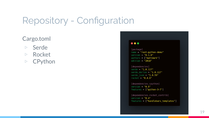## **Repository - Configuration**

#### Cargo.toml

- Serde  $\triangleright$
- $\triangleright$  Rocket
- $\triangleright$  CPython

#### $\bullet\bullet\bullet$

[package]  $name = "rust-python-demo"$ version =  $"0.1.0"$  $authors = ['mattdark"]$ edition =  $"2018"$ 

[dependencies]  $serde = "1.0.117"$ serde derive =  $"1.0.117"$ serde json =  $"1.0.59"$  $rocket = "0.4.6"$ 

[dependencies.cpython] version =  $"0.5"$ features =  $['python-3-7"]$ 

[dependencies.rocket\_contrib] version =  $"0.4"$ features = ["handlebars\_templates"]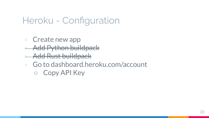## Heroku - Configuration

- ▷ Create new app
- ▷ Add Python buildpack
- ▷ Add Rust buildpack
- ▷ Go to dashboard.heroku.com/account
	- Copy API Key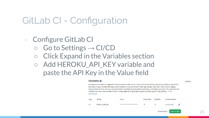## GitLab CI - Configuration

## ▷ Configure GitLab CI

- $\circ$  Go to Settings  $\rightarrow$  CI/CD
- Click Expand in the Variables section
- Add HEROKU\_API\_KEY variable and paste the API Key in the Value field

#### Variables <sup>O</sup>

Environment variables are applied to environments via the runner. They can be protected by only exposing them to protected branches or tags. Additionally, they can be masked so they are hidden in job logs, though they must match certain regexp requirements to do so. You can use environment variables for passwords, secret keys, or whatever you want. You may also add variables that are made available to the running application by prepending the variable key with K8S\_SECRET\_. More information

| Var<br>*********************<br>× | Type | Key                   | Value | Protected | Masked | <b>Environments</b> |  |
|-----------------------------------|------|-----------------------|-------|-----------|--------|---------------------|--|
|                                   |      | <b>HEROKU API KEY</b> |       |           |        | All (default)       |  |

#### Collapse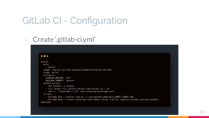## GitLab CI - Configuration

## ▷ Create '.gitlab-ci.yml'

#### $\bullet\bullet\bullet$

```
build:
  only:
    - master
  image: registry.gitlab.com/majorhayden/container-buildah
  stage: build
  variables:
   STORAGE_DRIVER: "vfs"
   BUILDAH_FORMAT: "docker"
  before_script:
    - dnf install -y nodejs
    - curl https://cli-assets.heroku.com/install.sh | sh
    - sed -i '/^mountopt =.*/d' /etc/containers/storage.conf
  script:
    - buildah bud --iidfile iidfile -t rust-python-demo:$CI_COMMIT_SHORT_SHA .
    - buildah push --creds=_:$(heroku auth:token) $(cat iidfile) registry.heroku.com/rust-python-
demo/web
```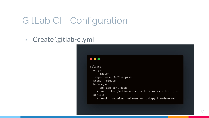## GitLab CI - Configuration

▷ Create '.gitlab-ci.yml'

#### $\bullet\bullet\bullet$

release: only: - master image: node:10.23-alpine stage: release before\_script: - apk add curl bash - curl https://cli-assets.heroku.com/install.sh | sh script: - heroku container: release -a rust-python-demo web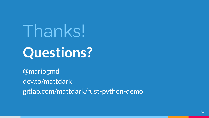Thanks! Questions?

@mariogmd dev.to/mattdark gitlab.com/mattdark/rust-python-demo